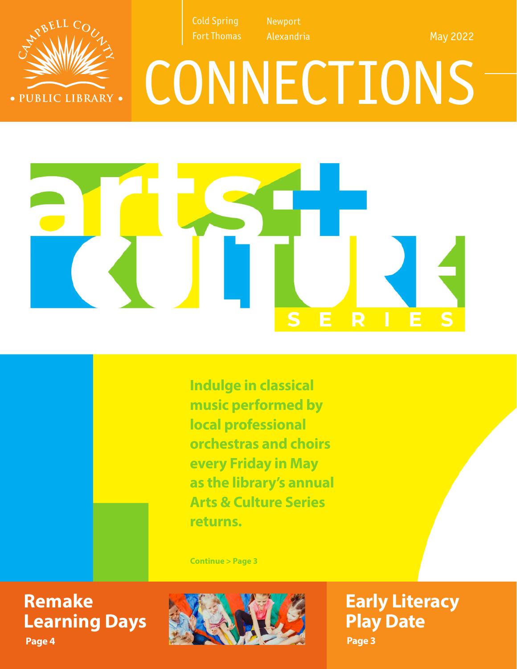

Alexandria

May 2022

# CONNECTIONS



**Indulge in classical music performed by local professional orchestras and choirs every Friday in May as the library's annual Arts & Culture Series returns.**

**Continue > Page 3**

### **Remake Learning Days**

· PUBLIC LIBRARY ·

**Page 4**



**Early Literacy Play Date Page 3**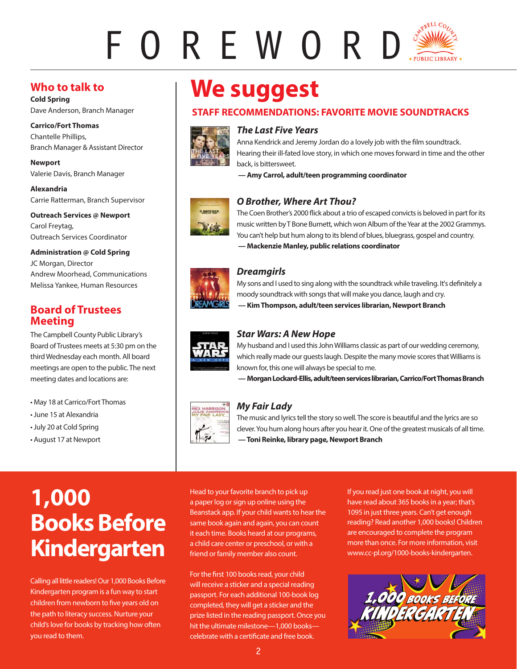## FOREWORD

#### **Who to talk to**

**Cold Spring** Dave Anderson, Branch Manager

**Carrico/Fort Thomas** Chantelle Phillips, Branch Manager & Assistant Director

**Newport** Valerie Davis, Branch Manager

**Alexandria** Carrie Ratterman, Branch Supervisor

**Outreach Services @ Newport**  Carol Freytag, Outreach Services Coordinator

#### **Administration @ Cold Spring**

JC Morgan, Director Andrew Moorhead, Communications Melissa Yankee, Human Resources

#### **Board of Trustees Meeting**

The Campbell County Public Library's Board of Trustees meets at 5:30 pm on the third Wednesday each month. All board meetings are open to the public. The next meeting dates and locations are:

• May 18 at Carrico/Fort Thomas

- June 15 at Alexandria
- July 20 at Cold Spring
- August 17 at Newport

## **We suggest**

#### **STAFF RECOMMENDATIONS: FAVORITE MOVIE SOUNDTRACKS**



#### *The Last Five Years*

Anna Kendrick and Jeremy Jordan do a lovely job with the film soundtrack. Hearing their ill-fated love story, in which one moves forward in time and the other back, is bittersweet.

 **— Amy Carrol, adult/teen programming coordinator**



#### *O Brother, Where Art Thou?*

The Coen Brother's 2000 flick about a trio of escaped convicts is beloved in part for its music written by T Bone Burnett, which won Album of the Year at the 2002 Grammys. You can't help but hum along to its blend of blues, bluegrass, gospel and country.  **— Mackenzie Manley, public relations coordinator** 



#### *Dreamgirls*

My sons and I used to sing along with the soundtrack while traveling. It's definitely a moody soundtrack with songs that will make you dance, laugh and cry.  **— Kim Thompson, adult/teen services librarian, Newport Branch**



#### *Star Wars: A New Hope*

My husband and I used this John Williams classic as part of our wedding ceremony, which really made our guests laugh. Despite the many movie scores that Williams is known for, this one will always be special to me.

 **— Morgan Lockard-Ellis, adult/teen services librarian, Carrico/Fort Thomas Branch**



#### *My Fair Lady*

The music and lyrics tell the story so well. The score is beautiful and the lyrics are so clever. You hum along hours after you hear it. One of the greatest musicals of all time.  **— Toni Reinke, library page, Newport Branch**

### **1,000 Books Before Kindergarten**

Calling all little readers! Our 1,000 Books Before Kindergarten program is a fun way to start children from newborn to five years old on the path to literacy success. Nurture your child's love for books by tracking how often you read to them.

Head to your favorite branch to pick up a paper log or sign up online using the Beanstack app. If your child wants to hear the same book again and again, you can count it each time. Books heard at our programs, a child care center or preschool, or with a friend or family member also count.

For the first 100 books read, your child will receive a sticker and a special reading passport. For each additional 100-book log completed, they will get a sticker and the prize listed in the reading passport. Once you hit the ultimate milestone—1,000 books celebrate with a certificate and free book.

If you read just one book at night, you will have read about 365 books in a year; that's 1095 in just three years. Can't get enough reading? Read another 1,000 books! Children are encouraged to complete the program more than once. For more information, visit www.cc-pl.org/1000-books-kindergarten.

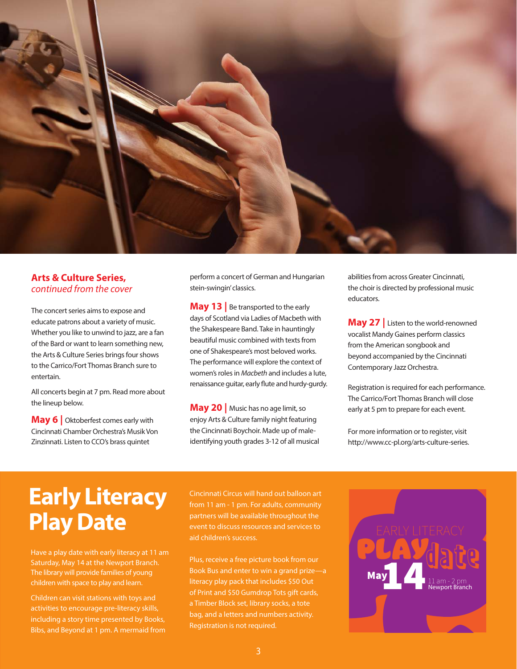

#### **Arts & Culture Series,** *continued from the cover*

The concert series aims to expose and educate patrons about a variety of music. Whether you like to unwind to jazz, are a fan of the Bard or want to learn something new, the Arts & Culture Series brings four shows to the Carrico/Fort Thomas Branch sure to entertain.

All concerts begin at 7 pm. Read more about the lineup below.

**May 6** | Oktoberfest comes early with Cincinnati Chamber Orchestra's Musik Von Zinzinnati. Listen to CCO's brass quintet

perform a concert of German and Hungarian stein-swingin' classics.

**May 13** Be transported to the early days of Scotland via Ladies of Macbeth with the Shakespeare Band. Take in hauntingly beautiful music combined with texts from one of Shakespeare's most beloved works. The performance will explore the context of women's roles in *Macbeth* and includes a lute, renaissance guitar, early flute and hurdy-gurdy.

**May 20** | Music has no age limit, so enjoy Arts & Culture family night featuring the Cincinnati Boychoir. Made up of maleidentifying youth grades 3-12 of all musical abilities from across Greater Cincinnati, the choir is directed by professional music educators.

**May 27 |** Listen to the world-renowned vocalist Mandy Gaines perform classics from the American songbook and beyond accompanied by the Cincinnati Contemporary Jazz Orchestra.

Registration is required for each performance. The Carrico/Fort Thomas Branch will close early at 5 pm to prepare for each event.

For more information or to register, visit http://www.cc-pl.org/arts-culture-series.

### **Early Literacy Play Date**

Have a play date with early literacy at 11 am Saturday, May 14 at the Newport Branch. The library will provide families of young children with space to play and learn.

Children can visit stations with toys and activities to encourage pre-literacy skills, including a story time presented by Books, Bibs, and Beyond at 1 pm. A mermaid from

Cincinnati Circus will hand out balloon art from 11 am - 1 pm. For adults, community partners will be available throughout the event to discuss resources and services to aid children's success.

Plus, receive a free picture book from our Book Bus and enter to win a grand prize—a literacy play pack that includes \$50 Out of Print and \$50 Gumdrop Tots gift cards, bag, and a letters and numbers activity. Registration is not required.

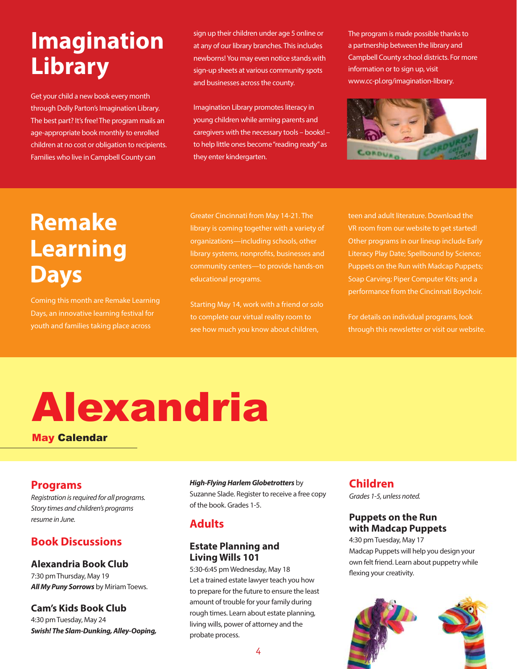## **Imagination Library**

Get your child a new book every month through Dolly Parton's Imagination Library. The best part? It's free! The program mails an age-appropriate book monthly to enrolled children at no cost or obligation to recipients. Families who live in Campbell County can

sign up their children under age 5 online or at any of our library branches. This includes newborns! You may even notice stands with sign-up sheets at various community spots and businesses across the county.

Imagination Library promotes literacy in young children while arming parents and caregivers with the necessary tools – books! – to help little ones become "reading ready" as they enter kindergarten.

The program is made possible thanks to a partnership between the library and Campbell County school districts. For more information or to sign up, visit www.cc-pl.org/imagination-library.



### **Remake Learning Days**

Coming this month are Remake Learning Days, an innovative learning festival for youth and families taking place across

Greater Cincinnati from May 14-21. The library is coming together with a variety of organizations—including schools, other library systems, nonprofits, businesses and community centers—to provide hands-on educational programs.

Starting May 14, work with a friend or solo to complete our virtual reality room to

teen and adult literature. Download the VR room from our website to get started! Other programs in our lineup include Early Literacy Play Date; Spellbound by Science; Puppets on the Run with Madcap Puppets; Soap Carving; Piper Computer Kits; and a performance from the Cincinnati Boychoir.

For details on individual programs, look through this newsletter or visit our website.

## Alexandria

May Calendar

#### **Programs**

*Registration is required for all programs. Story times and children's programs resume in June.* 

#### **Book Discussions**

#### **Alexandria Book Club**

7:30 pm Thursday, May 19 *All My Puny Sorrows* by Miriam Toews.

#### **Cam's Kids Book Club**

4:30 pm Tuesday, May 24 *Swish! The Slam-Dunking, Alley-Ooping,* 

#### *High-Flying Harlem Globetrotters* by

Suzanne Slade. Register to receive a free copy of the book. Grades 1-5.

#### **Adults**

#### **Estate Planning and Living Wills 101**

5:30-6:45 pm Wednesday, May 18 Let a trained estate lawyer teach you how to prepare for the future to ensure the least amount of trouble for your family during rough times. Learn about estate planning, living wills, power of attorney and the probate process.

#### **Children**

*Grades 1-5, unless noted.*

#### **Puppets on the Run with Madcap Puppets**

4:30 pm Tuesday, May 17 Madcap Puppets will help you design your own felt friend. Learn about puppetry while flexing your creativity.

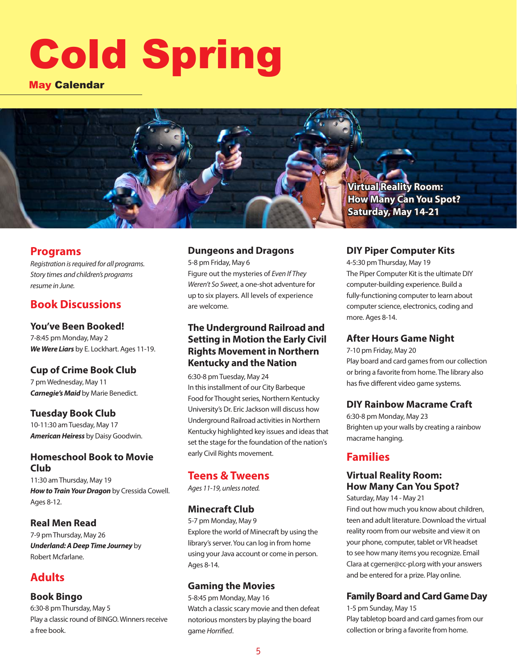## Cold Spring

#### May Calendar



#### **Programs**

*Registration is required for all programs. Story times and children's programs resume in June.* 

#### **Book Discussions**

#### **You've Been Booked!**

7-8:45 pm Monday, May 2 *We Were Liars* by E. Lockhart. Ages 11-19.

#### **Cup of Crime Book Club**

7 pm Wednesday, May 11 *Carnegie's Maid* by Marie Benedict.

#### **Tuesday Book Club**

10-11:30 am Tuesday, May 17 *American Heiress* by Daisy Goodwin.

#### **Homeschool Book to Movie Club**

11:30 am Thursday, May 19 *How to Train Your Dragon* by Cressida Cowell. Ages 8-12.

#### **Real Men Read**

7-9 pm Thursday, May 26 *Underland: A Deep Time Journey* by Robert Mcfarlane.

#### **Adults**

#### **Book Bingo**

6:30-8 pm Thursday, May 5 Play a classic round of BINGO. Winners receive a free book.

#### **Dungeons and Dragons**

5-8 pm Friday, May 6 Figure out the mysteries of *Even If They Weren't So Sweet*, a one-shot adventure for up to six players. All levels of experience are welcome.

#### **The Underground Railroad and Setting in Motion the Early Civil Rights Movement in Northern Kentucky and the Nation**

6:30-8 pm Tuesday, May 24 In this installment of our City Barbeque Food for Thought series, Northern Kentucky University's Dr. Eric Jackson will discuss how Underground Railroad activities in Northern Kentucky highlighted key issues and ideas that set the stage for the foundation of the nation's early Civil Rights movement.

#### **Teens & Tweens**

*Ages 11-19, unless noted.*

#### **Minecraft Club**

5-7 pm Monday, May 9 Explore the world of Minecraft by using the library's server. You can log in from home using your Java account or come in person. Ages 8-14.

#### **Gaming the Movies**

5-8:45 pm Monday, May 16 Watch a classic scary movie and then defeat notorious monsters by playing the board game *Horrified*.

#### **DIY Piper Computer Kits**

4-5:30 pm Thursday, May 19 The Piper Computer Kit is the ultimate DIY computer-building experience. Build a fully-functioning computer to learn about computer science, electronics, coding and more. Ages 8-14.

#### **After Hours Game Night**

7-10 pm Friday, May 20 Play board and card games from our collection or bring a favorite from home. The library also has five different video game systems.

#### **DIY Rainbow Macrame Craft**

6:30-8 pm Monday, May 23 Brighten up your walls by creating a rainbow macrame hanging.

#### **Families**

#### **Virtual Reality Room: How Many Can You Spot?**

Saturday, May 14 - May 21

Find out how much you know about children, teen and adult literature. Download the virtual reality room from our website and view it on your phone, computer, tablet or VR headset to see how many items you recognize. Email Clara at cgerner@cc-pl.org with your answers and be entered for a prize. Play online.

#### **Family Board and Card Game Day**

1-5 pm Sunday, May 15 Play tabletop board and card games from our collection or bring a favorite from home.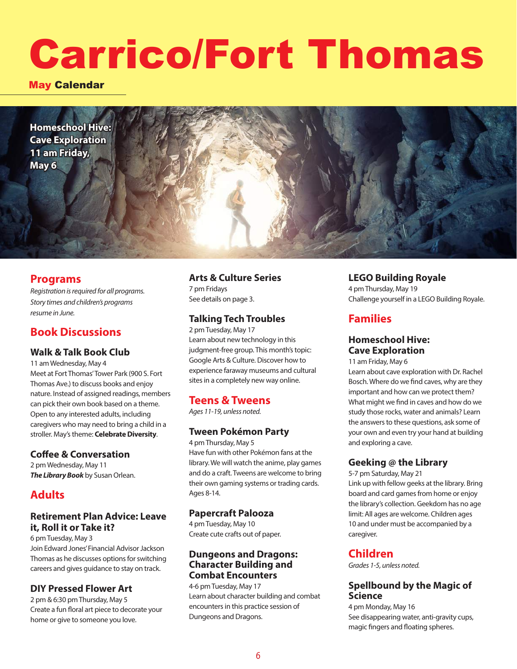## Carrico/Fort Thomas

May Calendar

**Homeschool Hive: Cave Exploration 11 am Friday, May 6**

#### **Programs**

*Registration is required for all programs. Story times and children's programs resume in June.* 

#### **Book Discussions**

#### **Walk & Talk Book Club**

11 am Wednesday, May 4 Meet at Fort Thomas' Tower Park (900 S. Fort Thomas Ave.) to discuss books and enjoy nature. Instead of assigned readings, members can pick their own book based on a theme. Open to any interested adults, including caregivers who may need to bring a child in a stroller. May's theme: **Celebrate Diversity**.

#### **Coffee & Conversation**

2 pm Wednesday, May 11 *The Library Book* by Susan Orlean.

#### **Adults**

#### **Retirement Plan Advice: Leave it, Roll it or Take it?**

6 pm Tuesday, May 3 Join Edward Jones' Financial Advisor Jackson Thomas as he discusses options for switching careers and gives guidance to stay on track.

#### **DIY Pressed Flower Art**

2 pm & 6:30 pm Thursday, May 5 Create a fun floral art piece to decorate your home or give to someone you love.

#### **Arts & Culture Series**

7 pm Fridays See details on page 3.

#### **Talking Tech Troubles**

2 pm Tuesday, May 17 Learn about new technology in this judgment-free group. This month's topic: Google Arts & Culture. Discover how to experience faraway museums and cultural sites in a completely new way online.

#### **Teens & Tweens**

*Ages 11-19, unless noted.*

#### **Tween Pokémon Party**

4 pm Thursday, May 5 Have fun with other Pokémon fans at the library. We will watch the anime, play games and do a craft. Tweens are welcome to bring their own gaming systems or trading cards. Ages 8-14.

#### **Papercraft Palooza**

4 pm Tuesday, May 10 Create cute crafts out of paper.

#### **Dungeons and Dragons: Character Building and Combat Encounters**

4-6 pm Tuesday, May 17 Learn about character building and combat encounters in this practice session of Dungeons and Dragons.

#### **LEGO Building Royale**

4 pm Thursday, May 19 Challenge yourself in a LEGO Building Royale.

#### **Families**

#### **Homeschool Hive: Cave Exploration**

11 am Friday, May 6

Learn about cave exploration with Dr. Rachel Bosch. Where do we find caves, why are they important and how can we protect them? What might we find in caves and how do we study those rocks, water and animals? Learn the answers to these questions, ask some of your own and even try your hand at building and exploring a cave.

#### **Geeking @ the Library**

5-7 pm Saturday, May 21

Link up with fellow geeks at the library. Bring board and card games from home or enjoy the library's collection. Geekdom has no age limit: All ages are welcome. Children ages 10 and under must be accompanied by a caregiver.

#### **Children**

*Grades 1-5, unless noted.*

#### **Spellbound by the Magic of Science**

4 pm Monday, May 16 See disappearing water, anti-gravity cups, magic fingers and floating spheres.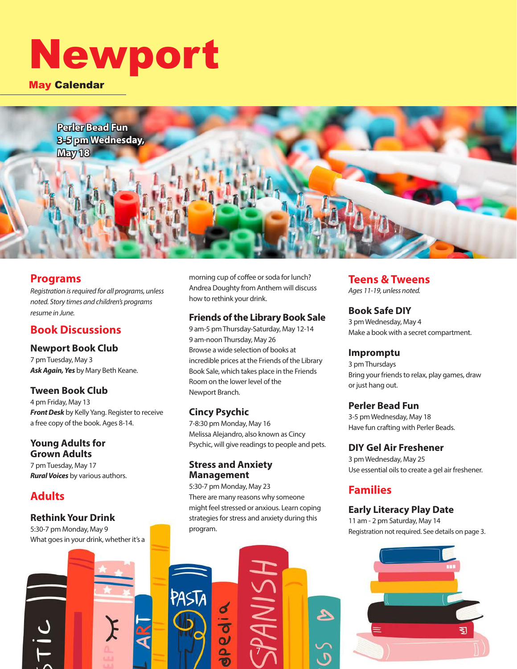## Newport

May Calendar

**Perler Bead Fun 3-5 pm Wednesday, May 18**

#### **Programs**

*Registration is required for all programs, unless noted. Story times and children's programs resume in June.* 

#### **Book Discussions**

**Newport Book Club** 7 pm Tuesday, May 3 *Ask Again, Yes* by Mary Beth Keane.

#### **Tween Book Club**

4 pm Friday, May 13 *Front Desk* by Kelly Yang. Register to receive a free copy of the book. Ages 8-14.

#### **Young Adults for Grown Adults**

7 pm Tuesday, May 17 *Rural Voices* by various authors.

#### **Adults**

 $\frac{c}{1}$ 

#### **Rethink Your Drink**

5:30-7 pm Monday, May 9 What goes in your drink, whether it's a morning cup of coffee or soda for lunch? Andrea Doughty from Anthem will discuss how to rethink your drink.

#### **Friends of the Library Book Sale**

9 am-5 pm Thursday-Saturday, May 12-14 9 am-noon Thursday, May 26 Browse a wide selection of books at incredible prices at the Friends of the Library Book Sale, which takes place in the Friends Room on the lower level of the Newport Branch.

#### **Cincy Psychic**

PASTA

7-8:30 pm Monday, May 16 Melissa Alejandro, also known as Cincy Psychic, will give readings to people and pets.

#### **Stress and Anxiety Management**

pedia

5:30-7 pm Monday, May 23 There are many reasons why someone might feel stressed or anxious. Learn coping strategies for stress and anxiety during this program.

7

#### **Teens & Tweens**

*Ages 11-19, unless noted.*

#### **Book Safe DIY**

3 pm Wednesday, May 4 Make a book with a secret compartment.

#### **Impromptu**

3 pm Thursdays Bring your friends to relax, play games, draw or just hang out.

#### **Perler Bead Fun**

3-5 pm Wednesday, May 18 Have fun crafting with Perler Beads.

#### **DIY Gel Air Freshener**

3 pm Wednesday, May 25 Use essential oils to create a gel air freshener.

#### **Families**

#### **Early Literacy Play Date**

11 am - 2 pm Saturday, May 14 Registration not required. See details on page 3.